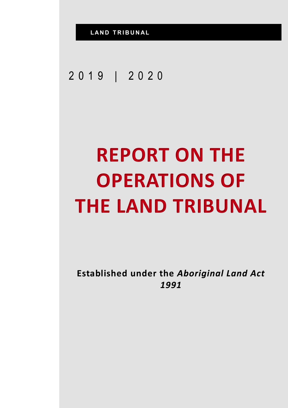## 2019 | 2020

## **REPORT ON THE OPERATIONS OF THE LAND TRIBUNAL**

**Established under the** *Aboriginal Land Act 1991*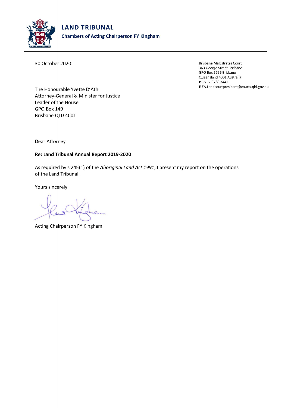

30 October 2020

**Brisbane Magistrates Court** 363 George Street Brisbane GPO Box 5266 Brisbane Queensland 4001 Australia P+61737387441 E EA.Landcourtpresident@courts.qld.gov.au

The Honourable Yvette D'Ath Attorney-General & Minister for Justice Leader of the House **GPO Box 149** Brisbane QLD 4001

Dear Attorney

## Re: Land Tribunal Annual Report 2019-2020

As required by s 245(1) of the Aboriginal Land Act 1991, I present my report on the operations of the Land Tribunal.

Yours sincerely

Acting Chairperson FY Kingham